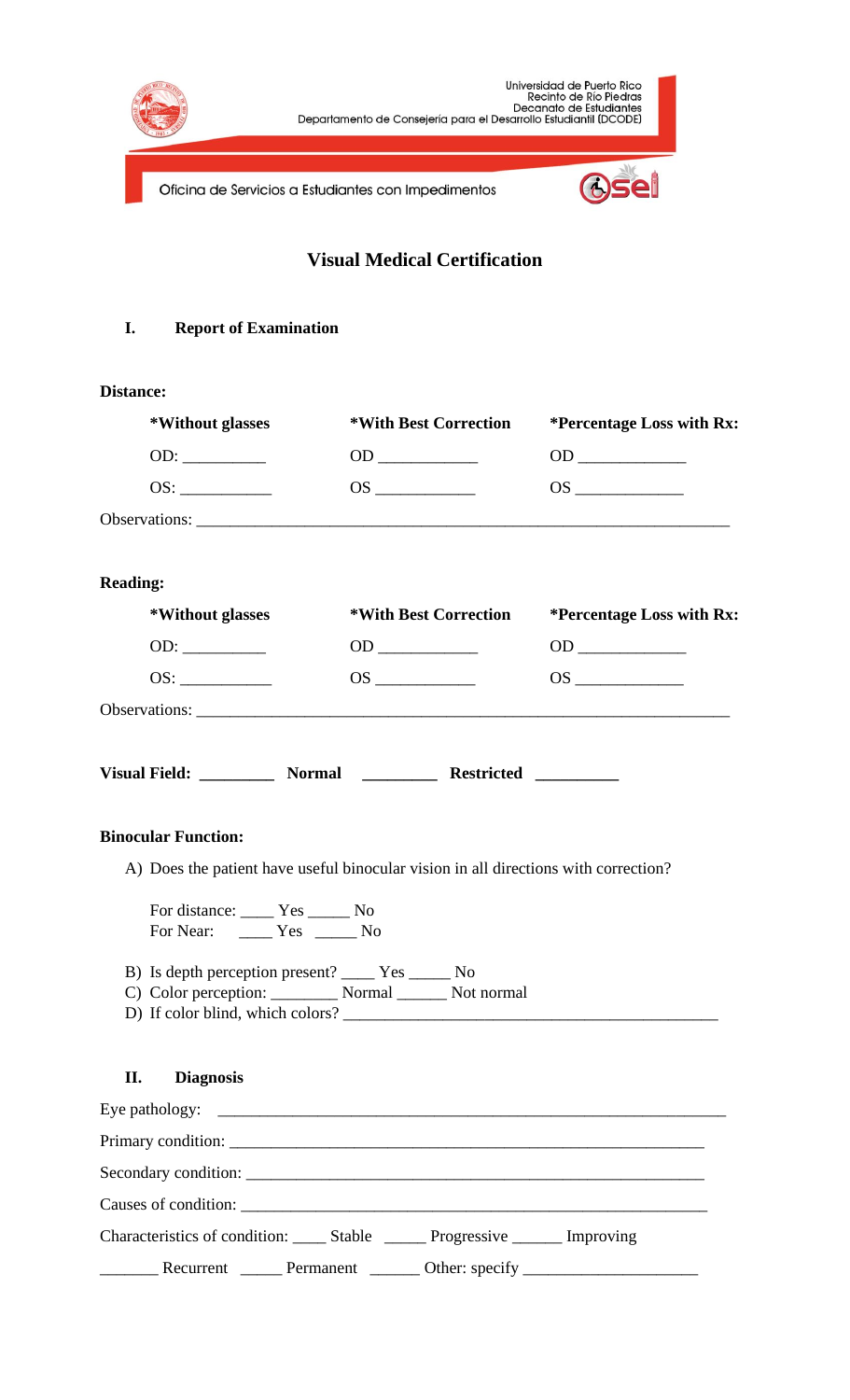

**Visual Medical Certification**

## **I. Report of Examination**

## **Distance:**

| *Without glasses                                                  | *With Best Correction                                                                                                                                                                                                                | <i>*Percentage Loss with Rx:</i> |
|-------------------------------------------------------------------|--------------------------------------------------------------------------------------------------------------------------------------------------------------------------------------------------------------------------------------|----------------------------------|
|                                                                   |                                                                                                                                                                                                                                      | $OD \underline{\hspace{1.5cm}}$  |
|                                                                   |                                                                                                                                                                                                                                      |                                  |
| Observations:                                                     |                                                                                                                                                                                                                                      |                                  |
| <b>Reading:</b>                                                   |                                                                                                                                                                                                                                      |                                  |
| *Without glasses                                                  | *With Best Correction                                                                                                                                                                                                                | *Percentage Loss with Rx:        |
|                                                                   |                                                                                                                                                                                                                                      | $OD \underline{\hspace{1.5cm}}$  |
|                                                                   |                                                                                                                                                                                                                                      |                                  |
|                                                                   |                                                                                                                                                                                                                                      |                                  |
|                                                                   | Visual Field: ____________ Normal ______________ Restricted ____________                                                                                                                                                             |                                  |
| <b>Binocular Function:</b>                                        |                                                                                                                                                                                                                                      |                                  |
|                                                                   | A) Does the patient have useful binocular vision in all directions with correction?                                                                                                                                                  |                                  |
| For distance: Ves _______ No<br>For Near: ________ Yes _______ No |                                                                                                                                                                                                                                      |                                  |
| B) Is depth perception present? ________ Yes ________ No          | C) Color perception: __________ Normal _______ Not normal<br>D) If color blind, which colors?                                                                                                                                        |                                  |
| II.<br><b>Diagnosis</b>                                           |                                                                                                                                                                                                                                      |                                  |
| Eye pathology:                                                    | <u> 1989 - Johann Harry Harry Harry Harry Harry Harry Harry Harry Harry Harry Harry Harry Harry Harry Harry Harry Harry Harry Harry Harry Harry Harry Harry Harry Harry Harry Harry Harry Harry Harry Harry Harry Harry Harry Ha</u> |                                  |
|                                                                   |                                                                                                                                                                                                                                      |                                  |
|                                                                   |                                                                                                                                                                                                                                      |                                  |
|                                                                   |                                                                                                                                                                                                                                      |                                  |
|                                                                   | Characteristics of condition: ______ Stable ________ Progressive _______ Improving                                                                                                                                                   |                                  |

Recurrent \_\_\_\_\_ Permanent \_\_\_\_\_\_ Other: specify \_\_\_\_\_\_\_\_\_\_\_\_\_\_\_\_\_\_\_\_\_\_\_\_\_\_\_\_\_\_\_\_